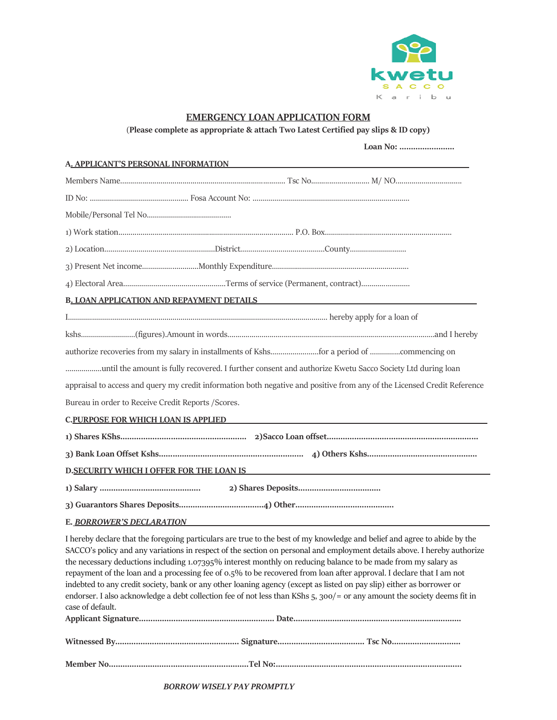

## **EMERGENCY LOAN APPLICATION FORM**

(**Please complete as appropriate & attach Two Latest Certified pay slips & ID copy)**

| A, APPLICANT'S PERSONAL INFORMATION                 |                                                                                                                                                                                                                                                                                                                                                                                                                                                                                                                                                                                                                                                                                                                                                      |  |
|-----------------------------------------------------|------------------------------------------------------------------------------------------------------------------------------------------------------------------------------------------------------------------------------------------------------------------------------------------------------------------------------------------------------------------------------------------------------------------------------------------------------------------------------------------------------------------------------------------------------------------------------------------------------------------------------------------------------------------------------------------------------------------------------------------------------|--|
|                                                     |                                                                                                                                                                                                                                                                                                                                                                                                                                                                                                                                                                                                                                                                                                                                                      |  |
|                                                     |                                                                                                                                                                                                                                                                                                                                                                                                                                                                                                                                                                                                                                                                                                                                                      |  |
|                                                     |                                                                                                                                                                                                                                                                                                                                                                                                                                                                                                                                                                                                                                                                                                                                                      |  |
|                                                     |                                                                                                                                                                                                                                                                                                                                                                                                                                                                                                                                                                                                                                                                                                                                                      |  |
|                                                     |                                                                                                                                                                                                                                                                                                                                                                                                                                                                                                                                                                                                                                                                                                                                                      |  |
|                                                     |                                                                                                                                                                                                                                                                                                                                                                                                                                                                                                                                                                                                                                                                                                                                                      |  |
|                                                     |                                                                                                                                                                                                                                                                                                                                                                                                                                                                                                                                                                                                                                                                                                                                                      |  |
| <b>B. LOAN APPLICATION AND REPAYMENT DETAILS</b>    |                                                                                                                                                                                                                                                                                                                                                                                                                                                                                                                                                                                                                                                                                                                                                      |  |
|                                                     |                                                                                                                                                                                                                                                                                                                                                                                                                                                                                                                                                                                                                                                                                                                                                      |  |
|                                                     |                                                                                                                                                                                                                                                                                                                                                                                                                                                                                                                                                                                                                                                                                                                                                      |  |
|                                                     |                                                                                                                                                                                                                                                                                                                                                                                                                                                                                                                                                                                                                                                                                                                                                      |  |
|                                                     | until the amount is fully recovered. I further consent and authorize Kwetu Sacco Society Ltd during loan                                                                                                                                                                                                                                                                                                                                                                                                                                                                                                                                                                                                                                             |  |
|                                                     | appraisal to access and query my credit information both negative and positive from any of the Licensed Credit Reference                                                                                                                                                                                                                                                                                                                                                                                                                                                                                                                                                                                                                             |  |
| Bureau in order to Receive Credit Reports / Scores. |                                                                                                                                                                                                                                                                                                                                                                                                                                                                                                                                                                                                                                                                                                                                                      |  |
| <b>C.PURPOSE FOR WHICH LOAN IS APPLIED</b>          |                                                                                                                                                                                                                                                                                                                                                                                                                                                                                                                                                                                                                                                                                                                                                      |  |
|                                                     |                                                                                                                                                                                                                                                                                                                                                                                                                                                                                                                                                                                                                                                                                                                                                      |  |
|                                                     |                                                                                                                                                                                                                                                                                                                                                                                                                                                                                                                                                                                                                                                                                                                                                      |  |
| D. SECURITY WHICH I OFFER FOR THE LOAN IS           |                                                                                                                                                                                                                                                                                                                                                                                                                                                                                                                                                                                                                                                                                                                                                      |  |
|                                                     |                                                                                                                                                                                                                                                                                                                                                                                                                                                                                                                                                                                                                                                                                                                                                      |  |
|                                                     |                                                                                                                                                                                                                                                                                                                                                                                                                                                                                                                                                                                                                                                                                                                                                      |  |
| E. BORROWER'S DECLARATION                           |                                                                                                                                                                                                                                                                                                                                                                                                                                                                                                                                                                                                                                                                                                                                                      |  |
| case of default.                                    | I hereby declare that the foregoing particulars are true to the best of my knowledge and belief and agree to abide by the<br>SACCO's policy and any variations in respect of the section on personal and employment details above. I hereby authorize<br>the necessary deductions including 1.07395% interest monthly on reducing balance to be made from my salary as<br>repayment of the loan and a processing fee of 0.5% to be recovered from loan after approval. I declare that I am not<br>indebted to any credit society, bank or any other loaning agency (except as listed on pay slip) either as borrower or<br>endorser. I also acknowledge a debt collection fee of not less than KShs 5, 300/ = or any amount the society deems fit in |  |
|                                                     |                                                                                                                                                                                                                                                                                                                                                                                                                                                                                                                                                                                                                                                                                                                                                      |  |

**Member No…………………………………………………….Tel No:………………………………………………………………………**

*BORROW WISELY PAY PROMPTLY*